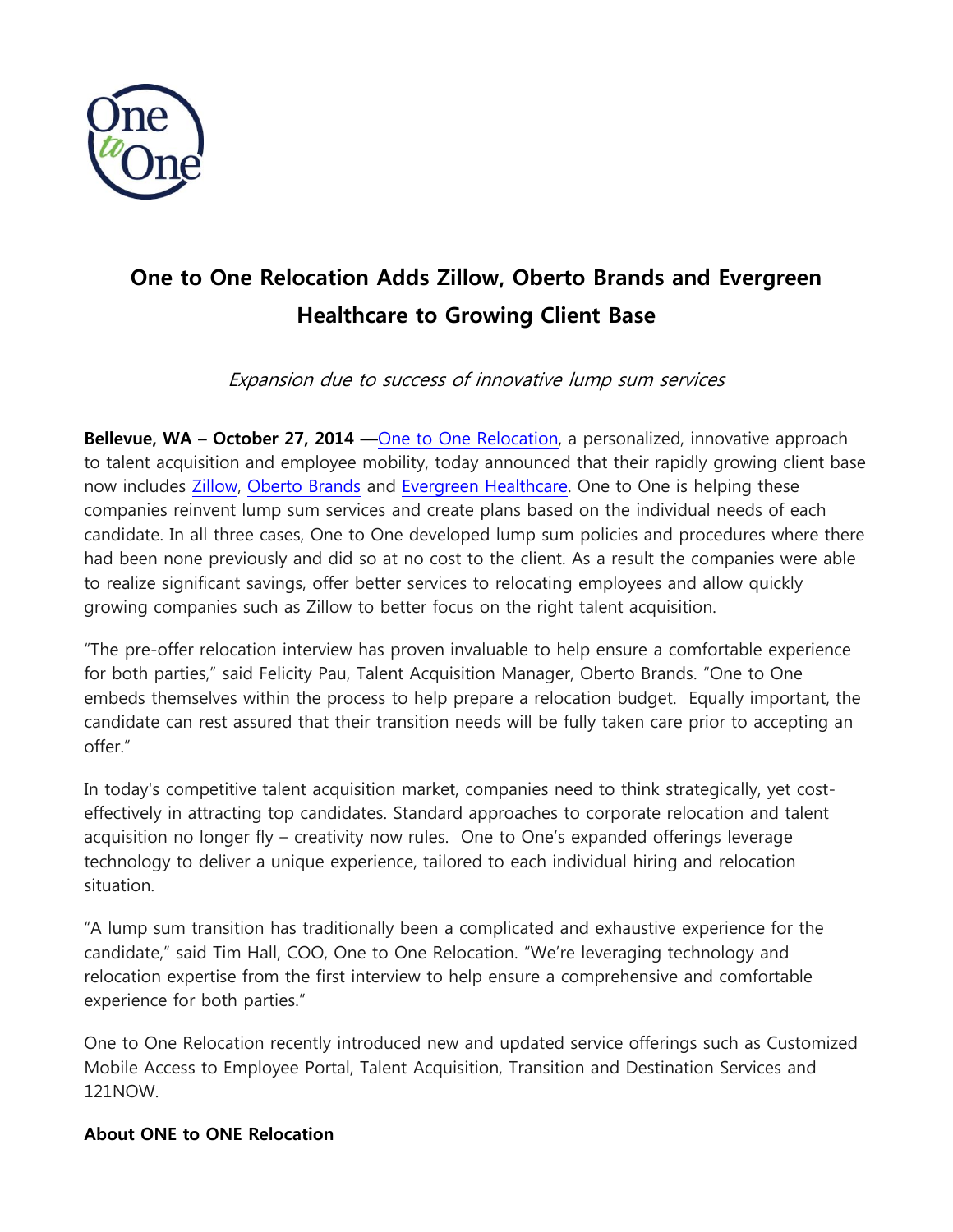

## **One to One Relocation Adds Zillow, Oberto Brands and Evergreen Healthcare to Growing Client Base**

Expansion due to success of innovative lump sum services

**Bellevue, WA – October 27, 2014 —**[One to One](http://www.onetoonerelo.com/) Relocation, a personalized, innovative approach to talent acquisition and employee mobility, today announced that their rapidly growing client base now includes [Zillow,](http://www.zillow.com/) [Oberto Brands](http://www.oberto.com/) and [Evergreen Healthcare.](http://www.evergreenhealth.com/) One to One is helping these companies reinvent lump sum services and create plans based on the individual needs of each candidate. In all three cases, One to One developed lump sum policies and procedures where there had been none previously and did so at no cost to the client. As a result the companies were able to realize significant savings, offer better services to relocating employees and allow quickly growing companies such as Zillow to better focus on the right talent acquisition.

"The pre-offer relocation interview has proven invaluable to help ensure a comfortable experience for both parties," said Felicity Pau, Talent Acquisition Manager, Oberto Brands. "One to One embeds themselves within the process to help prepare a relocation budget. Equally important, the candidate can rest assured that their transition needs will be fully taken care prior to accepting an offer."

In today's competitive talent acquisition market, companies need to think strategically, yet costeffectively in attracting top candidates. Standard approaches to corporate relocation and talent acquisition no longer fly – creativity now rules. One to One's expanded offerings leverage technology to deliver a unique experience, tailored to each individual hiring and relocation situation.

"A lump sum transition has traditionally been a complicated and exhaustive experience for the candidate," said Tim Hall, COO, One to One Relocation. "We're leveraging technology and relocation expertise from the first interview to help ensure a comprehensive and comfortable experience for both parties."

One to One Relocation recently introduced new and updated service offerings such as Customized Mobile Access to Employee Portal, Talent Acquisition, Transition and Destination Services and 121NOW.

## **About ONE to ONE Relocation**